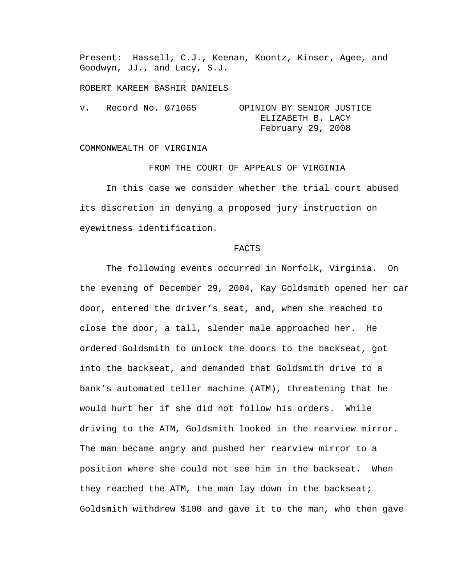Present: Hassell, C.J., Keenan, Koontz, Kinser, Agee, and Goodwyn, JJ., and Lacy, S.J.

ROBERT KAREEM BASHIR DANIELS

| $V_{\rm A}$ | Record No. 071065 | OPINION BY SENIOR JUSTICE |
|-------------|-------------------|---------------------------|
|             |                   | ELIZABETH B. LACY         |
|             |                   | February 29, 2008         |

## COMMONWEALTH OF VIRGINIA

FROM THE COURT OF APPEALS OF VIRGINIA In this case we consider whether the trial court abused its discretion in denying a proposed jury instruction on eyewitness identification.

## FACTS

 The following events occurred in Norfolk, Virginia. On the evening of December 29, 2004, Kay Goldsmith opened her car door, entered the driver's seat, and, when she reached to close the door, a tall, slender male approached her. He ordered Goldsmith to unlock the doors to the backseat, got into the backseat, and demanded that Goldsmith drive to a bank's automated teller machine (ATM), threatening that he would hurt her if she did not follow his orders. While driving to the ATM, Goldsmith looked in the rearview mirror. The man became angry and pushed her rearview mirror to a position where she could not see him in the backseat. When they reached the ATM, the man lay down in the backseat; Goldsmith withdrew \$100 and gave it to the man, who then gave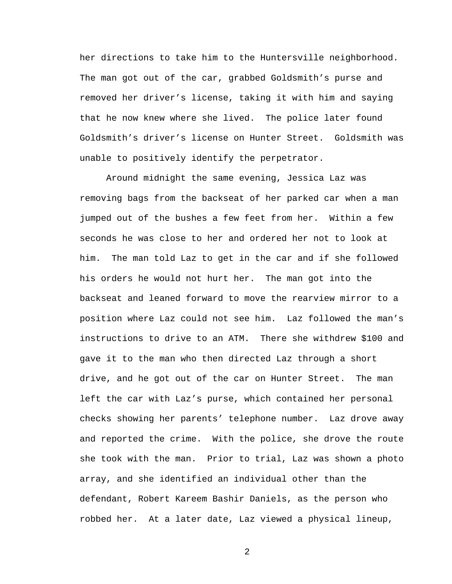her directions to take him to the Huntersville neighborhood. The man got out of the car, grabbed Goldsmith's purse and removed her driver's license, taking it with him and saying that he now knew where she lived. The police later found Goldsmith's driver's license on Hunter Street. Goldsmith was unable to positively identify the perpetrator.

 Around midnight the same evening, Jessica Laz was removing bags from the backseat of her parked car when a man jumped out of the bushes a few feet from her. Within a few seconds he was close to her and ordered her not to look at him. The man told Laz to get in the car and if she followed his orders he would not hurt her. The man got into the backseat and leaned forward to move the rearview mirror to a position where Laz could not see him. Laz followed the man's instructions to drive to an ATM. There she withdrew \$100 and gave it to the man who then directed Laz through a short drive, and he got out of the car on Hunter Street. The man left the car with Laz's purse, which contained her personal checks showing her parents' telephone number. Laz drove away and reported the crime. With the police, she drove the route she took with the man. Prior to trial, Laz was shown a photo array, and she identified an individual other than the defendant, Robert Kareem Bashir Daniels, as the person who robbed her. At a later date, Laz viewed a physical lineup,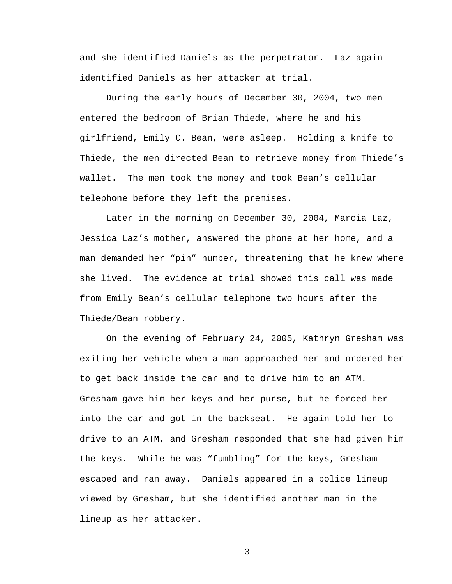and she identified Daniels as the perpetrator. Laz again identified Daniels as her attacker at trial.

 During the early hours of December 30, 2004, two men entered the bedroom of Brian Thiede, where he and his girlfriend, Emily C. Bean, were asleep. Holding a knife to Thiede, the men directed Bean to retrieve money from Thiede's wallet. The men took the money and took Bean's cellular telephone before they left the premises.

 Later in the morning on December 30, 2004, Marcia Laz, Jessica Laz's mother, answered the phone at her home, and a man demanded her "pin" number, threatening that he knew where she lived. The evidence at trial showed this call was made from Emily Bean's cellular telephone two hours after the Thiede/Bean robbery.

 On the evening of February 24, 2005, Kathryn Gresham was exiting her vehicle when a man approached her and ordered her to get back inside the car and to drive him to an ATM. Gresham gave him her keys and her purse, but he forced her into the car and got in the backseat. He again told her to drive to an ATM, and Gresham responded that she had given him the keys. While he was "fumbling" for the keys, Gresham escaped and ran away. Daniels appeared in a police lineup viewed by Gresham, but she identified another man in the lineup as her attacker.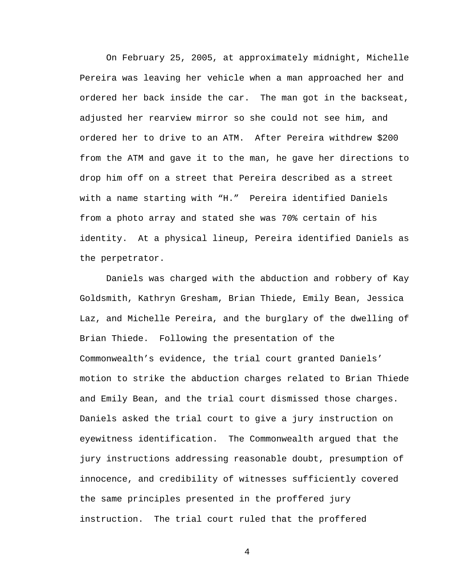On February 25, 2005, at approximately midnight, Michelle Pereira was leaving her vehicle when a man approached her and ordered her back inside the car. The man got in the backseat, adjusted her rearview mirror so she could not see him, and ordered her to drive to an ATM. After Pereira withdrew \$200 from the ATM and gave it to the man, he gave her directions to drop him off on a street that Pereira described as a street with a name starting with "H." Pereira identified Daniels from a photo array and stated she was 70% certain of his identity. At a physical lineup, Pereira identified Daniels as the perpetrator.

 Daniels was charged with the abduction and robbery of Kay Goldsmith, Kathryn Gresham, Brian Thiede, Emily Bean, Jessica Laz, and Michelle Pereira, and the burglary of the dwelling of Brian Thiede. Following the presentation of the Commonwealth's evidence, the trial court granted Daniels' motion to strike the abduction charges related to Brian Thiede and Emily Bean, and the trial court dismissed those charges. Daniels asked the trial court to give a jury instruction on eyewitness identification. The Commonwealth argued that the jury instructions addressing reasonable doubt, presumption of innocence, and credibility of witnesses sufficiently covered the same principles presented in the proffered jury instruction. The trial court ruled that the proffered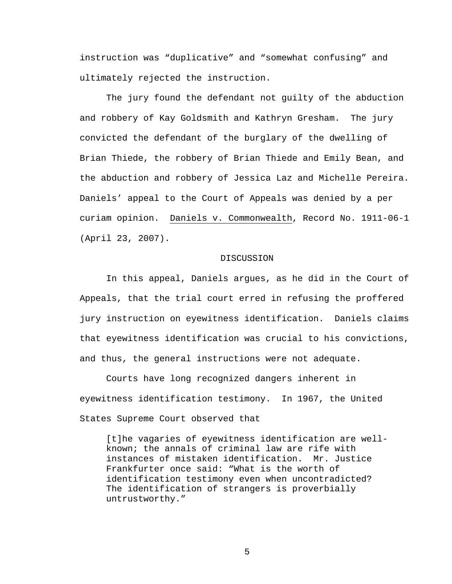instruction was "duplicative" and "somewhat confusing" and ultimately rejected the instruction.

The jury found the defendant not guilty of the abduction and robbery of Kay Goldsmith and Kathryn Gresham. The jury convicted the defendant of the burglary of the dwelling of Brian Thiede, the robbery of Brian Thiede and Emily Bean, and the abduction and robbery of Jessica Laz and Michelle Pereira. Daniels' appeal to the Court of Appeals was denied by a per curiam opinion. Daniels v. Commonwealth, Record No. 1911-06-1 (April 23, 2007).

## DISCUSSION

In this appeal, Daniels argues, as he did in the Court of Appeals, that the trial court erred in refusing the proffered jury instruction on eyewitness identification. Daniels claims that eyewitness identification was crucial to his convictions, and thus, the general instructions were not adequate.

 Courts have long recognized dangers inherent in eyewitness identification testimony. In 1967, the United States Supreme Court observed that

[t]he vagaries of eyewitness identification are wellknown; the annals of criminal law are rife with instances of mistaken identification. Mr. Justice Frankfurter once said: "What is the worth of identification testimony even when uncontradicted? The identification of strangers is proverbially untrustworthy."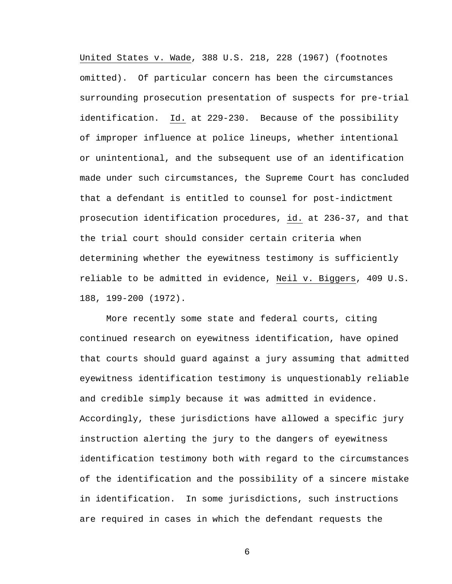United States v. Wade, 388 U.S. 218, 228 (1967) (footnotes omitted). Of particular concern has been the circumstances surrounding prosecution presentation of suspects for pre-trial identification. Id. at 229-230. Because of the possibility of improper influence at police lineups, whether intentional or unintentional, and the subsequent use of an identification made under such circumstances, the Supreme Court has concluded that a defendant is entitled to counsel for post-indictment prosecution identification procedures, id. at 236-37, and that the trial court should consider certain criteria when determining whether the eyewitness testimony is sufficiently reliable to be admitted in evidence, Neil v. Biggers, 409 U.S. 188, 199-200 (1972).

More recently some state and federal courts, citing continued research on eyewitness identification, have opined that courts should guard against a jury assuming that admitted eyewitness identification testimony is unquestionably reliable and credible simply because it was admitted in evidence. Accordingly, these jurisdictions have allowed a specific jury instruction alerting the jury to the dangers of eyewitness identification testimony both with regard to the circumstances of the identification and the possibility of a sincere mistake in identification. In some jurisdictions, such instructions are required in cases in which the defendant requests the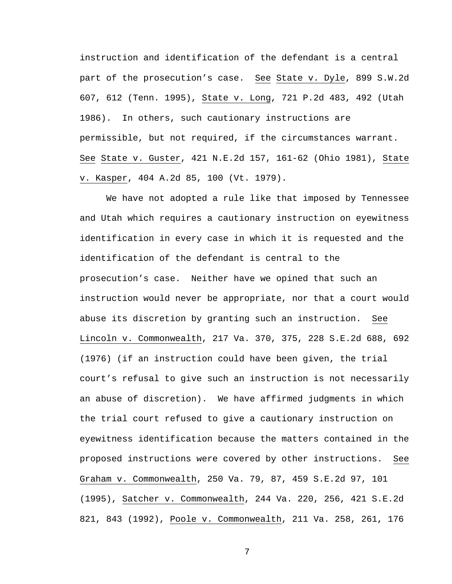instruction and identification of the defendant is a central part of the prosecution's case. See State v. Dyle, 899 S.W.2d 607, 612 (Tenn. 1995), State v. Long, 721 P.2d 483, 492 (Utah 1986). In others, such cautionary instructions are permissible, but not required, if the circumstances warrant. See State v. Guster, 421 N.E.2d 157, 161-62 (Ohio 1981), State v. Kasper, 404 A.2d 85, 100 (Vt. 1979).

We have not adopted a rule like that imposed by Tennessee and Utah which requires a cautionary instruction on eyewitness identification in every case in which it is requested and the identification of the defendant is central to the prosecution's case. Neither have we opined that such an instruction would never be appropriate, nor that a court would abuse its discretion by granting such an instruction. See Lincoln v. Commonwealth, 217 Va. 370, 375, 228 S.E.2d 688, 692 (1976) (if an instruction could have been given, the trial court's refusal to give such an instruction is not necessarily an abuse of discretion). We have affirmed judgments in which the trial court refused to give a cautionary instruction on eyewitness identification because the matters contained in the proposed instructions were covered by other instructions. See Graham v. Commonwealth, 250 Va. 79, 87, 459 S.E.2d 97, 101 (1995), Satcher v. Commonwealth, 244 Va. 220, 256, 421 S.E.2d 821, 843 (1992), Poole v. Commonwealth, 211 Va. 258, 261, 176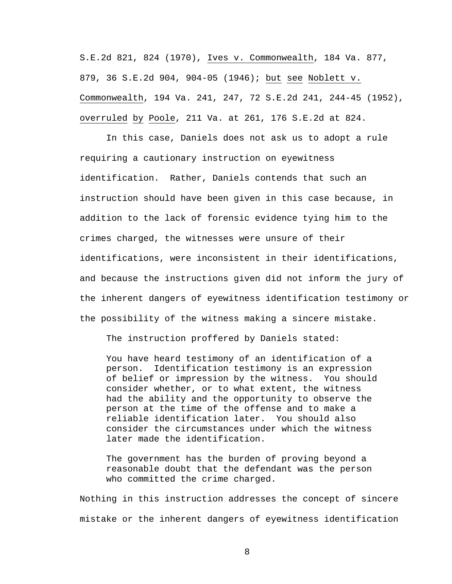S.E.2d 821, 824 (1970), Ives v. Commonwealth, 184 Va. 877, 879, 36 S.E.2d 904, 904-05 (1946); but see Noblett v. Commonwealth, 194 Va. 241, 247, 72 S.E.2d 241, 244-45 (1952), overruled by Poole, 211 Va. at 261, 176 S.E.2d at 824.

In this case, Daniels does not ask us to adopt a rule requiring a cautionary instruction on eyewitness identification. Rather, Daniels contends that such an instruction should have been given in this case because, in addition to the lack of forensic evidence tying him to the crimes charged, the witnesses were unsure of their identifications, were inconsistent in their identifications, and because the instructions given did not inform the jury of the inherent dangers of eyewitness identification testimony or the possibility of the witness making a sincere mistake.

The instruction proffered by Daniels stated:

You have heard testimony of an identification of a person. Identification testimony is an expression of belief or impression by the witness. You should consider whether, or to what extent, the witness had the ability and the opportunity to observe the person at the time of the offense and to make a reliable identification later. You should also consider the circumstances under which the witness later made the identification.

The government has the burden of proving beyond a reasonable doubt that the defendant was the person who committed the crime charged.

Nothing in this instruction addresses the concept of sincere mistake or the inherent dangers of eyewitness identification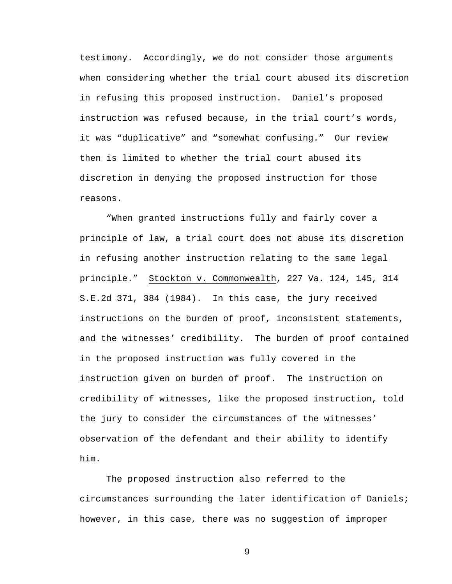testimony. Accordingly, we do not consider those arguments when considering whether the trial court abused its discretion in refusing this proposed instruction. Daniel's proposed instruction was refused because, in the trial court's words, it was "duplicative" and "somewhat confusing." Our review then is limited to whether the trial court abused its discretion in denying the proposed instruction for those reasons.

"When granted instructions fully and fairly cover a principle of law, a trial court does not abuse its discretion in refusing another instruction relating to the same legal principle." Stockton v. Commonwealth, 227 Va. 124, 145, 314 S.E.2d 371, 384 (1984). In this case, the jury received instructions on the burden of proof, inconsistent statements, and the witnesses' credibility. The burden of proof contained in the proposed instruction was fully covered in the instruction given on burden of proof. The instruction on credibility of witnesses, like the proposed instruction, told the jury to consider the circumstances of the witnesses' observation of the defendant and their ability to identify him.

The proposed instruction also referred to the circumstances surrounding the later identification of Daniels; however, in this case, there was no suggestion of improper